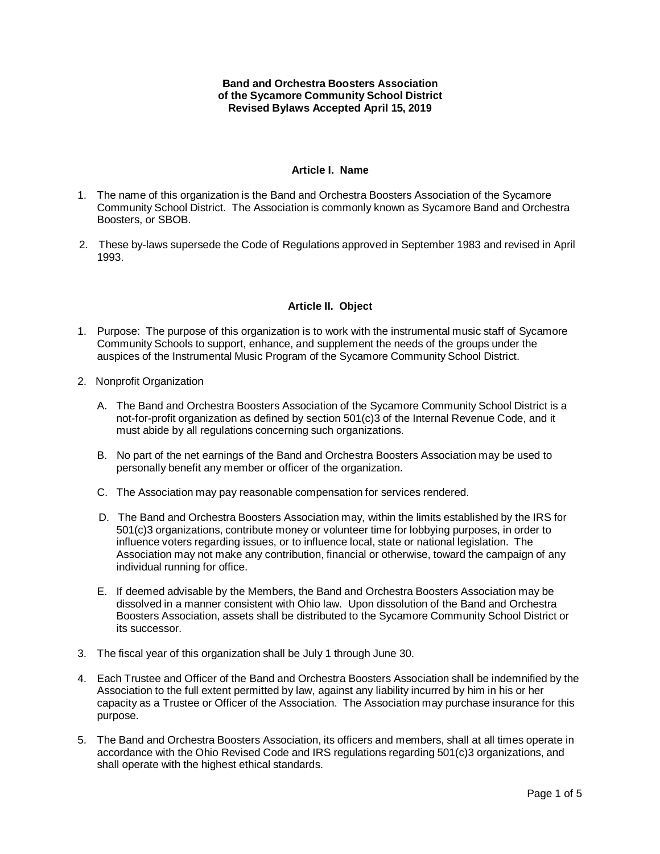#### **Band and Orchestra Boosters Association of the Sycamore Community School District Revised Bylaws Accepted April 15, 2019**

## **Article I. Name**

- 1. The name of this organization is the Band and Orchestra Boosters Association of the Sycamore Community School District. The Association is commonly known as Sycamore Band and Orchestra Boosters, or SBOB.
- 2. These by-laws supersede the Code of Regulations approved in September 1983 and revised in April 1993.

# **Article II. Object**

- 1. Purpose: The purpose of this organization is to work with the instrumental music staff of Sycamore Community Schools to support, enhance, and supplement the needs of the groups under the auspices of the Instrumental Music Program of the Sycamore Community School District.
- 2. Nonprofit Organization
	- A. The Band and Orchestra Boosters Association of the Sycamore Community School District is a not-for-profit organization as defined by section 501(c)3 of the Internal Revenue Code, and it must abide by all regulations concerning such organizations.
	- B. No part of the net earnings of the Band and Orchestra Boosters Association may be used to personally benefit any member or officer of the organization.
	- C. The Association may pay reasonable compensation for services rendered.
	- D. The Band and Orchestra Boosters Association may, within the limits established by the IRS for 501(c)3 organizations, contribute money or volunteer time for lobbying purposes, in order to influence voters regarding issues, or to influence local, state or national legislation. The Association may not make any contribution, financial or otherwise, toward the campaign of any individual running for office.
	- E. If deemed advisable by the Members, the Band and Orchestra Boosters Association may be dissolved in a manner consistent with Ohio law. Upon dissolution of the Band and Orchestra Boosters Association, assets shall be distributed to the Sycamore Community School District or its successor.
- 3. The fiscal year of this organization shall be July 1 through June 30.
- 4. Each Trustee and Officer of the Band and Orchestra Boosters Association shall be indemnified by the Association to the full extent permitted by law, against any liability incurred by him in his or her capacity as a Trustee or Officer of the Association. The Association may purchase insurance for this purpose.
- 5. The Band and Orchestra Boosters Association, its officers and members, shall at all times operate in accordance with the Ohio Revised Code and IRS regulations regarding 501(c)3 organizations, and shall operate with the highest ethical standards.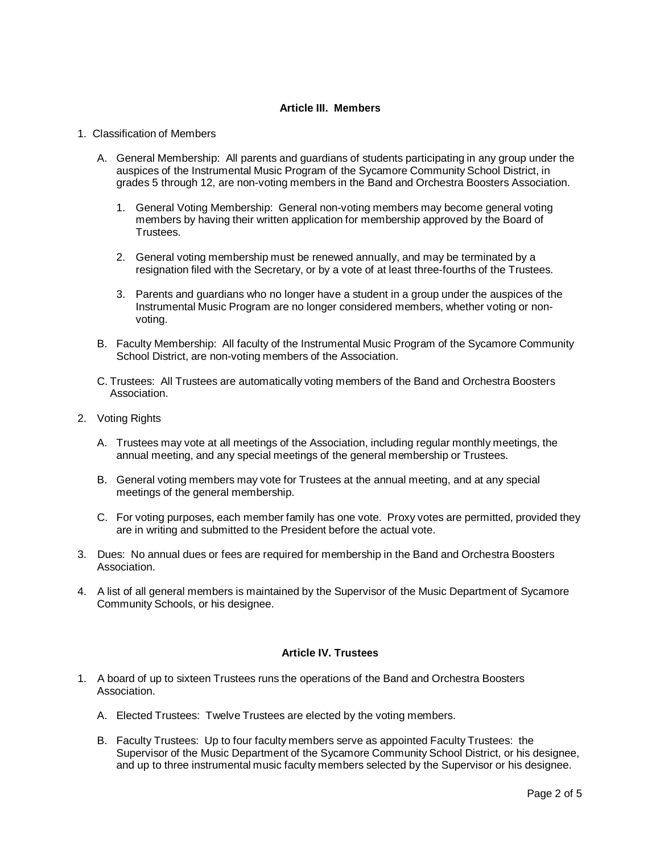# **Article III. Members**

### 1. Classification of Members

- A. General Membership: All parents and guardians of students participating in any group under the auspices of the Instrumental Music Program of the Sycamore Community School District, in grades 5 through 12, are non-voting members in the Band and Orchestra Boosters Association.
	- 1. General Voting Membership: General non-voting members may become general voting members by having their written application for membership approved by the Board of Trustees.
	- 2. General voting membership must be renewed annually, and may be terminated by a resignation filed with the Secretary, or by a vote of at least three-fourths of the Trustees.
	- 3. Parents and guardians who no longer have a student in a group under the auspices of the Instrumental Music Program are no longer considered members, whether voting or nonvoting.
- B. Faculty Membership: All faculty of the Instrumental Music Program of the Sycamore Community School District, are non-voting members of the Association.
- C. Trustees: All Trustees are automatically voting members of the Band and Orchestra Boosters Association.
- 2. Voting Rights
	- A. Trustees may vote at all meetings of the Association, including regular monthly meetings, the annual meeting, and any special meetings of the general membership or Trustees.
	- B. General voting members may vote for Trustees at the annual meeting, and at any special meetings of the general membership.
	- C. For voting purposes, each member family has one vote. Proxy votes are permitted, provided they are in writing and submitted to the President before the actual vote.
- 3. Dues: No annual dues or fees are required for membership in the Band and Orchestra Boosters Association.
- 4. A list of all general members is maintained by the Supervisor of the Music Department of Sycamore Community Schools, or his designee.

# **Article IV. Trustees**

- 1. A board of up to sixteen Trustees runs the operations of the Band and Orchestra Boosters Association.
	- A. Elected Trustees: Twelve Trustees are elected by the voting members.
	- B. Faculty Trustees: Up to four faculty members serve as appointed Faculty Trustees: the Supervisor of the Music Department of the Sycamore Community School District, or his designee, and up to three instrumental music faculty members selected by the Supervisor or his designee.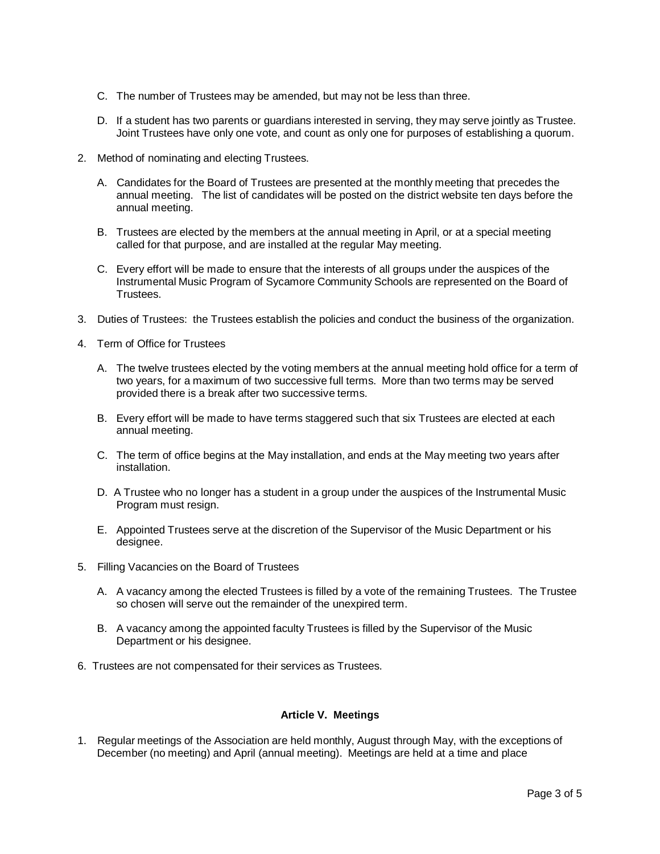- C. The number of Trustees may be amended, but may not be less than three.
- D. If a student has two parents or guardians interested in serving, they may serve jointly as Trustee. Joint Trustees have only one vote, and count as only one for purposes of establishing a quorum.
- 2. Method of nominating and electing Trustees.
	- A. Candidates for the Board of Trustees are presented at the monthly meeting that precedes the annual meeting. The list of candidates will be posted on the district website ten days before the annual meeting.
	- B. Trustees are elected by the members at the annual meeting in April, or at a special meeting called for that purpose, and are installed at the regular May meeting.
	- C. Every effort will be made to ensure that the interests of all groups under the auspices of the Instrumental Music Program of Sycamore Community Schools are represented on the Board of Trustees.
- 3. Duties of Trustees: the Trustees establish the policies and conduct the business of the organization.
- 4. Term of Office for Trustees
	- A. The twelve trustees elected by the voting members at the annual meeting hold office for a term of two years, for a maximum of two successive full terms. More than two terms may be served provided there is a break after two successive terms.
	- B. Every effort will be made to have terms staggered such that six Trustees are elected at each annual meeting.
	- C. The term of office begins at the May installation, and ends at the May meeting two years after installation.
	- D. A Trustee who no longer has a student in a group under the auspices of the Instrumental Music Program must resign.
	- E. Appointed Trustees serve at the discretion of the Supervisor of the Music Department or his designee.
- 5. Filling Vacancies on the Board of Trustees
	- A. A vacancy among the elected Trustees is filled by a vote of the remaining Trustees. The Trustee so chosen will serve out the remainder of the unexpired term.
	- B. A vacancy among the appointed faculty Trustees is filled by the Supervisor of the Music Department or his designee.
- 6. Trustees are not compensated for their services as Trustees.

### **Article V. Meetings**

1. Regular meetings of the Association are held monthly, August through May, with the exceptions of December (no meeting) and April (annual meeting). Meetings are held at a time and place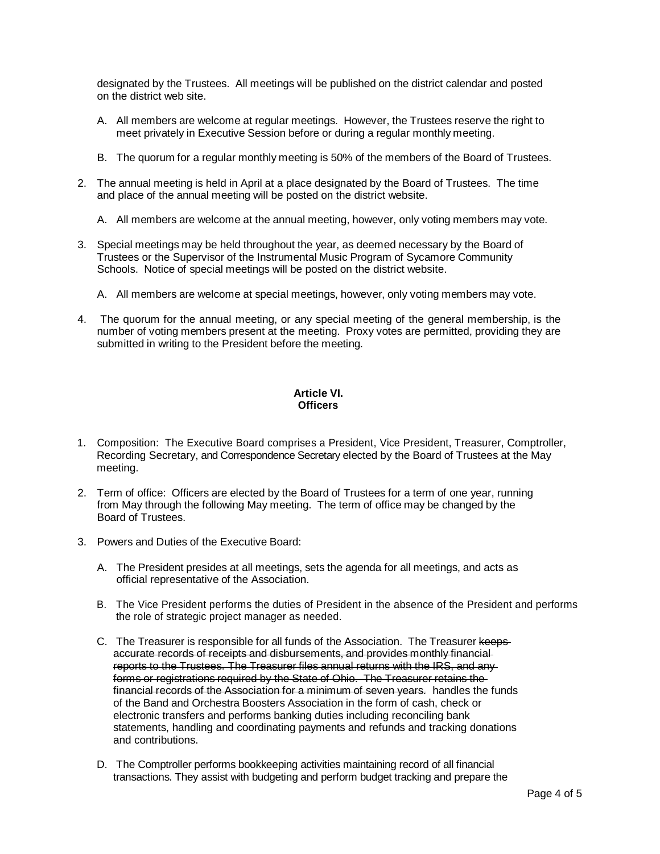designated by the Trustees. All meetings will be published on the district calendar and posted on the district web site.

- A. All members are welcome at regular meetings. However, the Trustees reserve the right to meet privately in Executive Session before or during a regular monthly meeting.
- B. The quorum for a regular monthly meeting is 50% of the members of the Board of Trustees.
- 2. The annual meeting is held in April at a place designated by the Board of Trustees. The time and place of the annual meeting will be posted on the district website.
	- A. All members are welcome at the annual meeting, however, only voting members may vote.
- 3. Special meetings may be held throughout the year, as deemed necessary by the Board of Trustees or the Supervisor of the Instrumental Music Program of Sycamore Community Schools. Notice of special meetings will be posted on the district website.
	- A. All members are welcome at special meetings, however, only voting members may vote.
- 4. The quorum for the annual meeting, or any special meeting of the general membership, is the number of voting members present at the meeting. Proxy votes are permitted, providing they are submitted in writing to the President before the meeting.

# **Article VI. Officers**

- 1. Composition: The Executive Board comprises a President, Vice President, Treasurer, Comptroller, Recording Secretary, and Correspondence Secretary elected by the Board of Trustees at the May meeting.
- 2. Term of office: Officers are elected by the Board of Trustees for a term of one year, running from May through the following May meeting. The term of office may be changed by the Board of Trustees.
- 3. Powers and Duties of the Executive Board:
	- A. The President presides at all meetings, sets the agenda for all meetings, and acts as official representative of the Association.
	- B. The Vice President performs the duties of President in the absence of the President and performs the role of strategic project manager as needed.
	- C. The Treasurer is responsible for all funds of the Association. The Treasurer keepsaccurate records of receipts and disbursements, and provides monthly financial reports to the Trustees. The Treasurer files annual returns with the IRS, and any forms or registrations required by the State of Ohio. The Treasurer retains the financial records of the Association for a minimum of seven years. handles the funds of the Band and Orchestra Boosters Association in the form of cash, check or electronic transfers and performs banking duties including reconciling bank statements, handling and coordinating payments and refunds and tracking donations and contributions.
	- D. The Comptroller performs bookkeeping activities maintaining record of all financial transactions. They assist with budgeting and perform budget tracking and prepare the